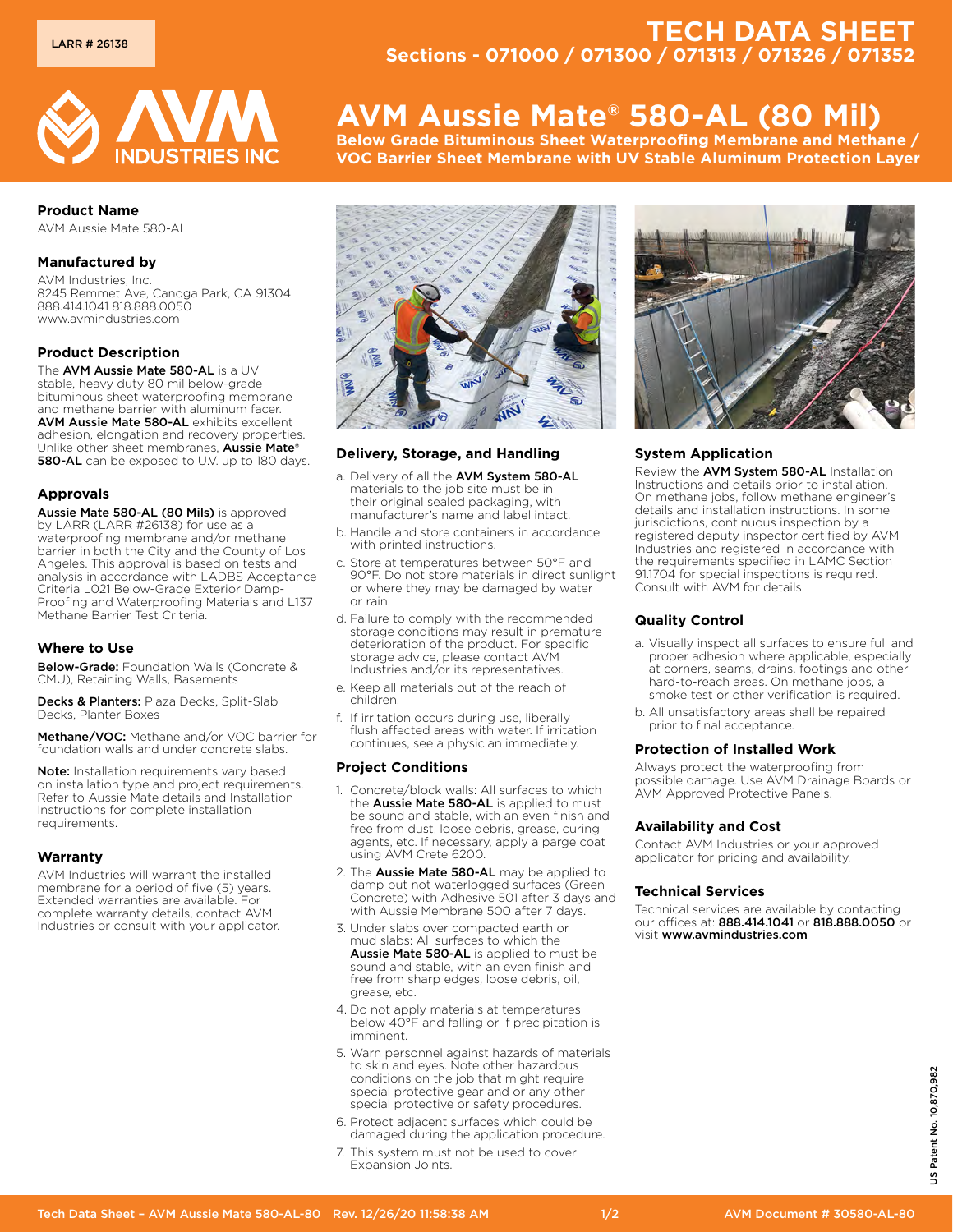

# **Product Name**

AVM Aussie Mate 580-AL

## **Manufactured by**

AVM Industries, Inc. 8245 Remmet Ave, Canoga Park, CA 91304 888.414.1041 818.888.0050 www.avmindustries.com

## **Product Description**

The AVM Aussie Mate 580-AL is a UV stable, heavy duty 80 mil below-grade bituminous sheet waterproofing membrane and methane barrier with aluminum facer. AVM Aussie Mate 580-AL exhibits excellent adhesion, elongation and recovery properties. Unlike other sheet membranes, Aussie Mate® 580-AL can be exposed to U.V. up to 180 days.

#### **Approvals**

Aussie Mate 580-AL (80 Mils) is approved by LARR (LARR #26138) for use as a waterproofing membrane and/or methane barrier in both the City and the County of Los Angeles. This approval is based on tests and analysis in accordance with LADBS Acceptance Criteria L021 Below-Grade Exterior Damp-Proofing and Waterproofing Materials and L137 Methane Barrier Test Criteria.

#### **Where to Use**

Below-Grade: Foundation Walls (Concrete & CMU), Retaining Walls, Basements

Decks & Planters: Plaza Decks, Split-Slab Decks, Planter Boxes

Methane/VOC: Methane and/or VOC barrier for foundation walls and under concrete slabs.

Note: Installation requirements vary based on installation type and project requirements. Refer to Aussie Mate details and Installation Instructions for complete installation requirements.

#### **Warranty**

AVM Industries will warrant the installed membrane for a period of five (5) years. Extended warranties are available. For complete warranty details, contact AVM Industries or consult with your applicator.

# **TECH DATA SHEET Sections - 071000 / 071300 / 071313 / 071326 / 071352**

# **AVM Aussie Mate® 580-AL (80 Mil)**

**Below Grade Bituminous Sheet Waterproofing Membrane and Methane / VOC Barrier Sheet Membrane with UV Stable Aluminum Protection Layer**



## **Delivery, Storage, and Handling**

- a. Delivery of all the AVM System 580-AL materials to the job site must be in their original sealed packaging, with manufacturer's name and label intact.
- b. Handle and store containers in accordance with printed instructions.
- c. Store at temperatures between 50°F and 90°F. Do not store materials in direct sunlight or where they may be damaged by water or rain.
- d. Failure to comply with the recommended storage conditions may result in premature deterioration of the product. For specific storage advice, please contact AVM Industries and/or its representatives.
- e. Keep all materials out of the reach of children.
- f. If irritation occurs during use, liberally flush affected areas with water. If irritation continues, see a physician immediately.

#### **Project Conditions**

- 1. Concrete/block walls: All surfaces to which the Aussie Mate 580-AL is applied to must be sound and stable, with an even finish and free from dust, loose debris, grease, curing agents, etc. If necessary, apply a parge coat using AVM Crete 6200.
- 2. The Aussie Mate 580-AL may be applied to damp but not waterlogged surfaces (Green Concrete) with Adhesive 501 after 3 days and with Aussie Membrane 500 after 7 days.
- 3. Under slabs over compacted earth or mud slabs: All surfaces to which the Aussie Mate 580-AL is applied to must be sound and stable, with an even finish and free from sharp edges, loose debris, oil, grease, etc.
- 4. Do not apply materials at temperatures below 40°F and falling or if precipitation is imminent.
- 5. Warn personnel against hazards of materials to skin and eyes. Note other hazardous conditions on the job that might require special protective gear and or any other special protective or safety procedures.
- 6. Protect adjacent surfaces which could be damaged during the application procedure.
- 7. This system must not be used to cover Expansion Joints.



# **System Application**

Review the AVM System 580-AL Installation Instructions and details prior to installation. On methane jobs, follow methane engineer's details and installation instructions. In some jurisdictions, continuous inspection by a registered deputy inspector certified by AVM Industries and registered in accordance with the requirements specified in LAMC Section 91.1704 for special inspections is required. Consult with AVM for details.

# **Quality Control**

- a. Visually inspect all surfaces to ensure full and proper adhesion where applicable, especially at corners, seams, drains, footings and other hard-to-reach areas. On methane jobs, a smoke test or other verification is required.
- b. All unsatisfactory areas shall be repaired prior to final acceptance.

#### **Protection of Installed Work**

Always protect the waterproofing from possible damage. Use AVM Drainage Boards or AVM Approved Protective Panels.

#### **Availability and Cost**

Contact AVM Industries or your approved applicator for pricing and availability.

#### **Technical Services**

Technical services are available by contacting our offices at: 888.414.1041 or 818.888.0050 or visit www.avmindustries.com